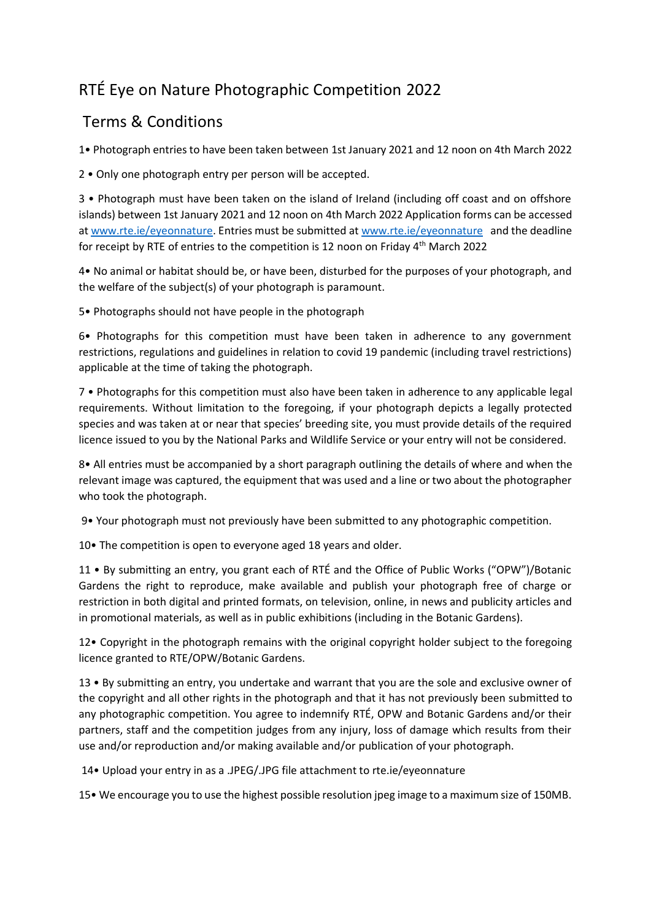## RTÉ Eye on Nature Photographic Competition 2022

## Terms & Conditions

1• Photograph entries to have been taken between 1st January 2021 and 12 noon on 4th March 2022

2 • Only one photograph entry per person will be accepted.

3 • Photograph must have been taken on the island of Ireland (including off coast and on offshore islands) between 1st January 2021 and 12 noon on 4th March 2022 Application forms can be accessed at [www.rte.ie/eyeonnature.](http://www.rte.ie/eyeonnature) Entries must be submitted a[t www.rte.ie/eyeonnature](http://www.rte.ie/eyeonnature) and the deadline for receipt by RTE of entries to the competition is 12 noon on Friday 4<sup>th</sup> March 2022

4• No animal or habitat should be, or have been, disturbed for the purposes of your photograph, and the welfare of the subject(s) of your photograph is paramount.

5• Photographs should not have people in the photograph

6• Photographs for this competition must have been taken in adherence to any government restrictions, regulations and guidelines in relation to covid 19 pandemic (including travel restrictions) applicable at the time of taking the photograph.

7 • Photographs for this competition must also have been taken in adherence to any applicable legal requirements. Without limitation to the foregoing, if your photograph depicts a legally protected species and was taken at or near that species' breeding site, you must provide details of the required licence issued to you by the National Parks and Wildlife Service or your entry will not be considered.

8• All entries must be accompanied by a short paragraph outlining the details of where and when the relevant image was captured, the equipment that was used and a line or two about the photographer who took the photograph.

9• Your photograph must not previously have been submitted to any photographic competition.

10• The competition is open to everyone aged 18 years and older.

11 • By submitting an entry, you grant each of RTÉ and the Office of Public Works ("OPW")/Botanic Gardens the right to reproduce, make available and publish your photograph free of charge or restriction in both digital and printed formats, on television, online, in news and publicity articles and in promotional materials, as well as in public exhibitions (including in the Botanic Gardens).

12• Copyright in the photograph remains with the original copyright holder subject to the foregoing licence granted to RTE/OPW/Botanic Gardens.

13 • By submitting an entry, you undertake and warrant that you are the sole and exclusive owner of the copyright and all other rights in the photograph and that it has not previously been submitted to any photographic competition. You agree to indemnify RTÉ, OPW and Botanic Gardens and/or their partners, staff and the competition judges from any injury, loss of damage which results from their use and/or reproduction and/or making available and/or publication of your photograph.

14• Upload your entry in as a .JPEG/.JPG file attachment to rte.ie/eyeonnature

15• We encourage you to use the highest possible resolution jpeg image to a maximum size of 150MB.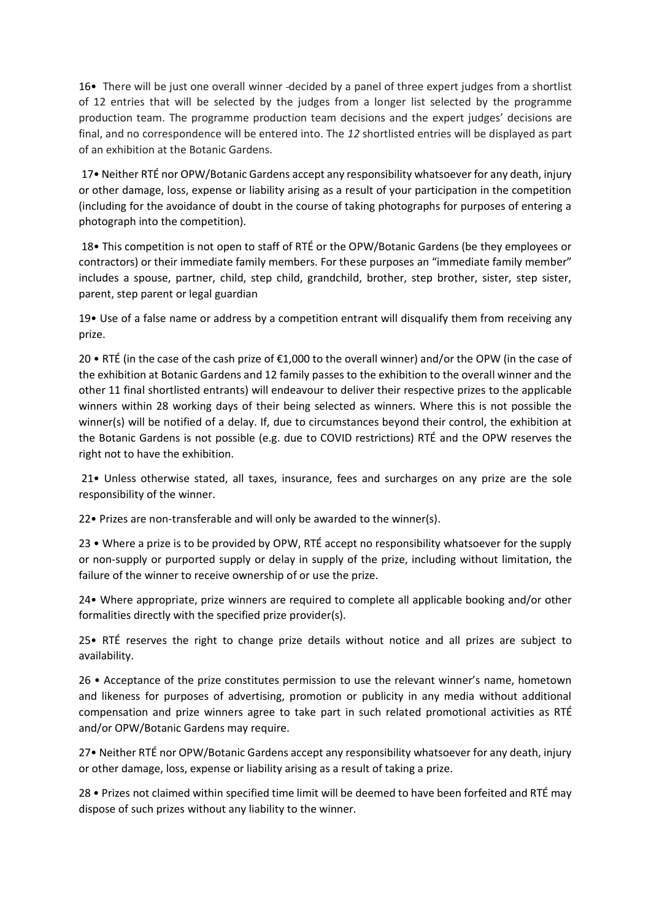16• There will be just one overall winner -decided by a panel of three expert judges from a shortlist of 12 entries that will be selected by the judges from a longer list selected by the programme production team. The programme production team decisions and the expert judges' decisions are final, and no correspondence will be entered into. The *12* shortlisted entries will be displayed as part of an exhibition at the Botanic Gardens.

17• Neither RTÉ nor OPW/Botanic Gardens accept any responsibility whatsoever for any death, injury or other damage, loss, expense or liability arising as a result of your participation in the competition (including for the avoidance of doubt in the course of taking photographs for purposes of entering a photograph into the competition).

18• This competition is not open to staff of RTÉ or the OPW/Botanic Gardens (be they employees or contractors) or their immediate family members. For these purposes an "immediate family member" includes a spouse, partner, child, step child, grandchild, brother, step brother, sister, step sister, parent, step parent or legal guardian

19• Use of a false name or address by a competition entrant will disqualify them from receiving any prize.

20 • RTÉ (in the case of the cash prize of €1,000 to the overall winner) and/or the OPW (in the case of the exhibition at Botanic Gardens and 12 family passes to the exhibition to the overall winner and the other 11 final shortlisted entrants) will endeavour to deliver their respective prizes to the applicable winners within 28 working days of their being selected as winners. Where this is not possible the winner(s) will be notified of a delay. If, due to circumstances beyond their control, the exhibition at the Botanic Gardens is not possible (e.g. due to COVID restrictions) RTÉ and the OPW reserves the right not to have the exhibition.

21• Unless otherwise stated, all taxes, insurance, fees and surcharges on any prize are the sole responsibility of the winner.

22• Prizes are non-transferable and will only be awarded to the winner(s).

23 • Where a prize is to be provided by OPW, RTÉ accept no responsibility whatsoever for the supply or non-supply or purported supply or delay in supply of the prize, including without limitation, the failure of the winner to receive ownership of or use the prize.

24• Where appropriate, prize winners are required to complete all applicable booking and/or other formalities directly with the specified prize provider(s).

25• RTÉ reserves the right to change prize details without notice and all prizes are subject to availability.

26 • Acceptance of the prize constitutes permission to use the relevant winner's name, hometown and likeness for purposes of advertising, promotion or publicity in any media without additional compensation and prize winners agree to take part in such related promotional activities as RTÉ and/or OPW/Botanic Gardens may require.

27• Neither RTÉ nor OPW/Botanic Gardens accept any responsibility whatsoever for any death, injury or other damage, loss, expense or liability arising as a result of taking a prize.

28 • Prizes not claimed within specified time limit will be deemed to have been forfeited and RTÉ may dispose of such prizes without any liability to the winner.